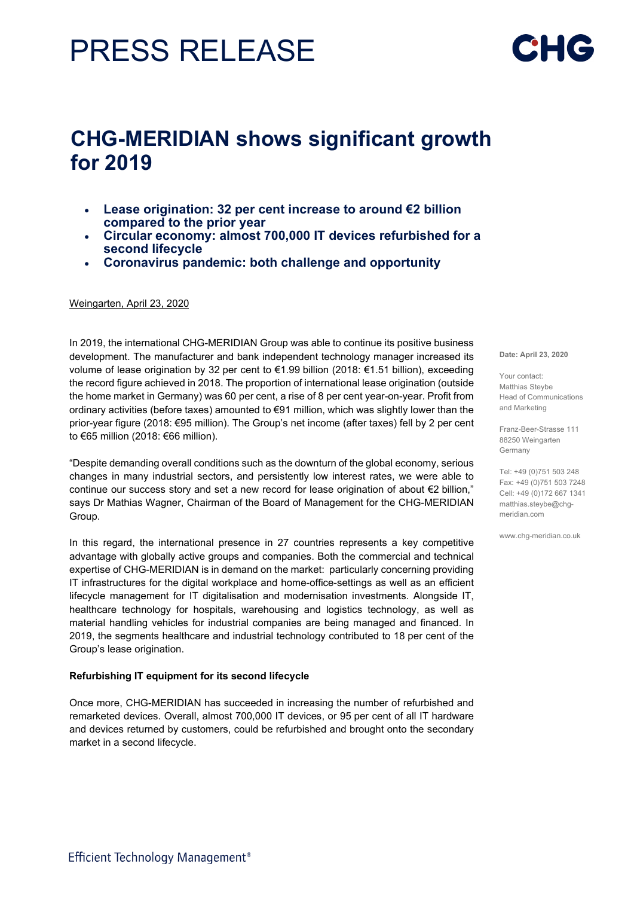# PRESS RELEASE

## **CHG-MERIDIAN shows significant growth for 2019**

- **Lease origination: 32 per cent increase to around €2 billion compared to the prior year**
- **Circular economy: almost 700,000 IT devices refurbished for a second lifecycle**
- **Coronavirus pandemic: both challenge and opportunity**

Weingarten, April 23, 2020

In 2019, the international CHG-MERIDIAN Group was able to continue its positive business development. The manufacturer and bank independent technology manager increased its volume of lease origination by 32 per cent to €1.99 billion (2018: €1.51 billion), exceeding the record figure achieved in 2018. The proportion of international lease origination (outside the home market in Germany) was 60 per cent, a rise of 8 per cent year-on-year. Profit from ordinary activities (before taxes) amounted to €91 million, which was slightly lower than the prior-year figure (2018: €95 million). The Group's net income (after taxes) fell by 2 per cent to €65 million (2018: €66 million).

"Despite demanding overall conditions such as the downturn of the global economy, serious changes in many industrial sectors, and persistently low interest rates, we were able to continue our success story and set a new record for lease origination of about €2 billion," says Dr Mathias Wagner, Chairman of the Board of Management for the CHG-MERIDIAN Group.

In this regard, the international presence in 27 countries represents a key competitive advantage with globally active groups and companies. Both the commercial and technical expertise of CHG-MERIDIAN is in demand on the market: particularly concerning providing IT infrastructures for the digital workplace and home-office-settings as well as an efficient lifecycle management for IT digitalisation and modernisation investments. Alongside IT, healthcare technology for hospitals, warehousing and logistics technology, as well as material handling vehicles for industrial companies are being managed and financed. In 2019, the segments healthcare and industrial technology contributed to 18 per cent of the Group's lease origination.

### **Refurbishing IT equipment for its second lifecycle**

Once more, CHG-MERIDIAN has succeeded in increasing the number of refurbished and remarketed devices. Overall, almost 700,000 IT devices, or 95 per cent of all IT hardware and devices returned by customers, could be refurbished and brought onto the secondary market in a second lifecycle.

**Date: April 23, 2020**

Your contact: Matthias Steybe Head of Communications and Marketing

Franz-Beer-Strasse 111 88250 Weingarten Germany

Tel: +49 (0)751 503 248 Fax: +49 (0)751 503 7248 Cell: +49 (0)172 667 1341 [matthias.steybe@chg](mailto:matthias.steybe@chg-)meridian.com

www.chg-meridian.co.uk

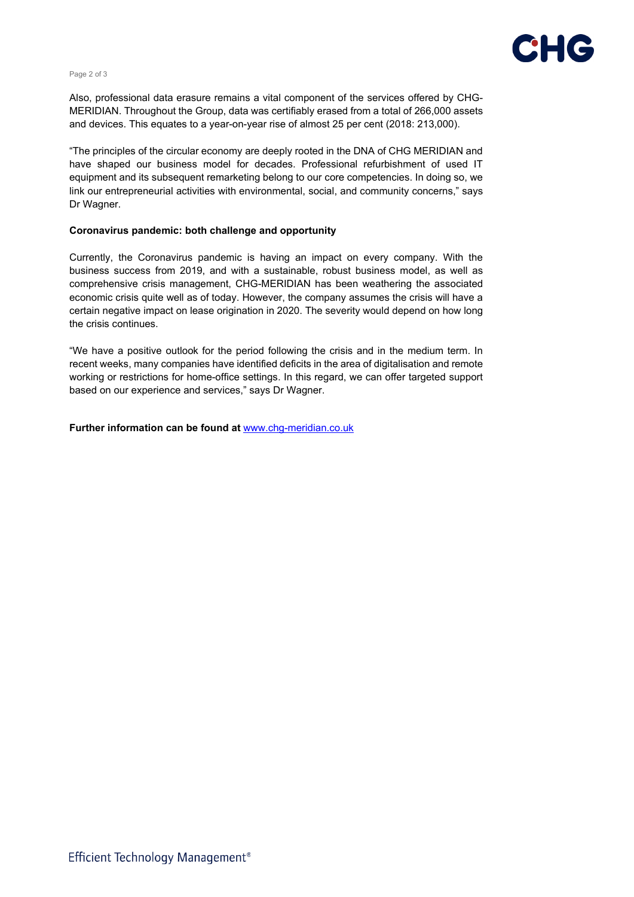



Also, professional data erasure remains a vital component of the services offered by CHG-MERIDIAN. Throughout the Group, data was certifiably erased from a total of 266,000 assets and devices. This equates to a year-on-year rise of almost 25 per cent (2018: 213,000).

have shaped our business model for decades. Professional refurbishment of used IT "The principles of the circular economy are deeply rooted in the DNA of CHG MERIDIAN and equipment and its subsequent remarketing belong to our core competencies. In doing so, we link our entrepreneurial activities with environmental, social, and community concerns," says Dr Wagner.

#### **Coronavirus pandemic: both challenge and opportunity**

Currently, the Coronavirus pandemic is having an impact on every company. With the business success from 2019, and with a sustainable, robust business model, as well as comprehensive crisis management, CHG-MERIDIAN has been weathering the associated economic crisis quite well as of today. However, the company assumes the crisis will have a certain negative impact on lease origination in 2020. The severity would depend on how long the crisis continues.

"We have a positive outlook for the period following the crisis and in the medium term. In recent weeks, many companies have identified deficits in the area of digitalisation and remote working or restrictions for home-office settings. In this regard, we can offer targeted support based on our experience and services," says Dr Wagner.

**Further information can be found at** [www.chg-meridian.co.uk](http://www.chg-meridian.co.uk/)